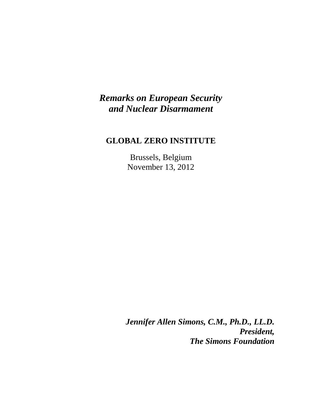## *Remarks on European Security and Nuclear Disarmament*

## **GLOBAL ZERO INSTITUTE**

Brussels, Belgium November 13, 2012

*Jennifer Allen Simons, C.M., Ph.D., LL.D. President, The Simons Foundation*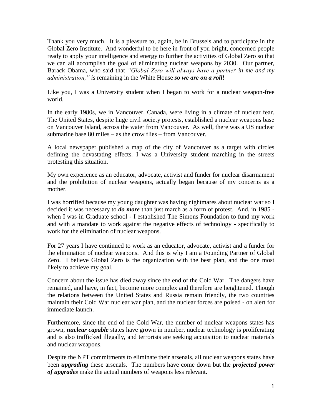Thank you very much. It is a pleasure to, again, be in Brussels and to participate in the Global Zero Institute. And wonderful to be here in front of you bright, concerned people ready to apply your intelligence and energy to further the activities of Global Zero so that we can all accomplish the goal of eliminating nuclear weapons by 2030. Our partner, Barack Obama, who said that *"Global Zero will always have a partner in me and my administration," is* remaining in the White House *so we are on a roll*!

Like you, I was a University student when I began to work for a nuclear weapon-free world.

In the early 1980s, we in Vancouver, Canada, were living in a climate of nuclear fear. The United States, despite huge civil society protests, established a nuclear weapons base on Vancouver Island, across the water from Vancouver. As well, there was a US nuclear submarine base 80 miles – as the crow flies – from Vancouver.

A local newspaper published a map of the city of Vancouver as a target with circles defining the devastating effects. I was a University student marching in the streets protesting this situation.

My own experience as an educator, advocate, activist and funder for nuclear disarmament and the prohibition of nuclear weapons, actually began because of my concerns as a mother.

I was horrified because my young daughter was having nightmares about nuclear war so I decided it was necessary to *do more* than just march as a form of protest. And, in 1985 when I was in Graduate school - I established The Simons Foundation to fund my work and with a mandate to work against the negative effects of technology - specifically to work for the elimination of nuclear weapons.

For 27 years I have continued to work as an educator, advocate, activist and a funder for the elimination of nuclear weapons. And this is why I am a Founding Partner of Global Zero. I believe Global Zero is the organization with the best plan, and the one most likely to achieve my goal.

Concern about the issue has died away since the end of the Cold War. The dangers have remained, and have, in fact, become more complex and therefore are heightened. Though the relations between the United States and Russia remain friendly, the two countries maintain their Cold War nuclear war plan, and the nuclear forces are poised - on alert for immediate launch.

Furthermore, since the end of the Cold War, the number of nuclear weapons states has grown, *nuclear capable* states have grown in number, nuclear technology is proliferating and is also trafficked illegally, and terrorists are seeking acquisition to nuclear materials and nuclear weapons.

Despite the NPT commitments to eliminate their arsenals, all nuclear weapons states have been *upgrading* these arsenals. The numbers have come down but the *projected power of upgrades* make the actual numbers of weapons less relevant.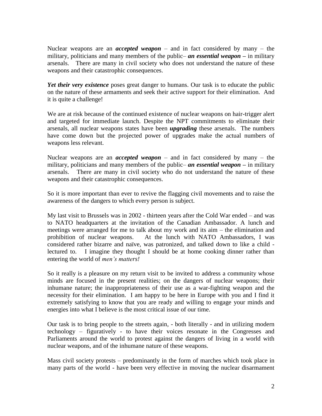Nuclear weapons are an *accepted weapon* – and in fact considered by many – the military, politicians and many members of the public– *an essential weapon –* in military arsenals. There are many in civil society who does not understand the nature of these weapons and their catastrophic consequences.

*Yet their very existence* poses great danger to humans. Our task is to educate the public on the nature of these armaments and seek their active support for their elimination. And it is quite a challenge!

We are at risk because of the continued existence of nuclear weapons on hair-trigger alert and targeted for immediate launch. Despite the NPT commitments to eliminate their arsenals, all nuclear weapons states have been *upgrading* these arsenals. The numbers have come down but the projected power of upgrades make the actual numbers of weapons less relevant.

Nuclear weapons are an *accepted weapon* – and in fact considered by many – the military, politicians and many members of the public– *an essential weapon –* in military arsenals. There are many in civil society who do not understand the nature of these weapons and their catastrophic consequences.

So it is more important than ever to revive the flagging civil movements and to raise the awareness of the dangers to which every person is subject.

My last visit to Brussels was in 2002 - thirteen years after the Cold War ended – and was to NATO headquarters at the invitation of the Canadian Ambassador. A lunch and meetings were arranged for me to talk about my work and its aim – the elimination and prohibition of nuclear weapons. At the lunch with NATO Ambassadors, I was considered rather bizarre and naïve, was patronized, and talked down to like a child lectured to. I imagine they thought I should be at home cooking dinner rather than entering the world of *men's matters!*

So it really is a pleasure on my return visit to be invited to address a community whose minds are focused in the present realities; on the dangers of nuclear weapons; their inhumane nature; the inappropriateness of their use as a war-fighting weapon and the necessity for their elimination. I am happy to be here in Europe with you and I find it extremely satisfying to know that you are ready and willing to engage your minds and energies into what I believe is the most critical issue of our time.

Our task is to bring people to the streets again, - both literally - and in utilizing modern technology – figuratively - to have their voices resonate in the Congresses and Parliaments around the world to protest against the dangers of living in a world with nuclear weapons, and of the inhumane nature of these weapons.

Mass civil society protests – predominantly in the form of marches which took place in many parts of the world - have been very effective in moving the nuclear disarmament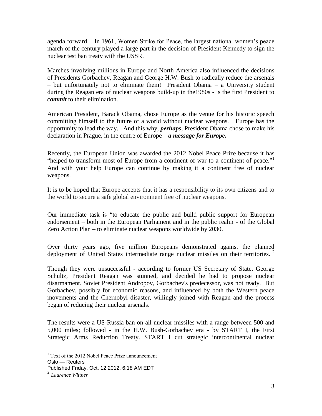agenda forward. In 1961, Women Strike for Peace, the largest national women's peace march of the century played a large part in the decision of President Kennedy to sign the nuclear test ban treaty with the USSR.

Marches involving millions in Europe and North America also influenced the decisions of Presidents Gorbachev, Reagan and George H.W. Bush to radically reduce the arsenals – but unfortunately not to eliminate them! President Obama – a University student during the Reagan era of nuclear weapons build-up in the1980s - is the first President to *commit* to their elimination.

American President, Barack Obama, chose Europe as the venue for his historic speech committing himself to the future of a world without nuclear weapons. Europe has the opportunity to lead the way. And this why, *perhaps*, President Obama chose to make his declaration in Prague, in the centre of Europe – *a message for Europe.*

Recently, the European Union was awarded the 2012 Nobel Peace Prize because it has "helped to transform most of Europe from a continent of war to a continent of peace."<sup>1</sup> And with your help Europe can continue by making it a continent free of nuclear weapons.

It is to be hoped that Europe accepts that it has a responsibility to its own citizens and to the world to secure a safe global environment free of nuclear weapons.

Our immediate task is "to educate the public and build public support for European endorsement – both in the European Parliament and in the public realm - of the Global Zero Action Plan – to eliminate nuclear weapons worldwide by 2030.

Over thirty years ago, five million Europeans demonstrated against the planned deployment of United States intermediate range nuclear missiles on their territories.  $2^2$ 

Though they were unsuccessful - according to former US Secretary of State, George Schultz, President Reagan was stunned, and decided he had to propose nuclear disarmament. Soviet President Andropov, Gorbachev's predecessor, was not ready. But Gorbachev, possibly for economic reasons, and influenced by both the Western peace movements and the Chernobyl disaster, willingly joined with Reagan and the process began of reducing their nuclear arsenals.

The results were a US-Russia ban on all nuclear missiles with a range between 500 and 5,000 miles; followed - in the H.W. Bush-Gorbachev era - by START I, the First Strategic Arms Reduction Treaty. START I cut strategic intercontinental nuclear

 $\overline{a}$ 

<sup>&</sup>lt;sup>1</sup> Text of the 2012 Nobel Peace Prize announcement

Oslo — Reuters

Published Friday, Oct. 12 2012, 6:18 AM EDT

<sup>2</sup> *Laurence Wittner*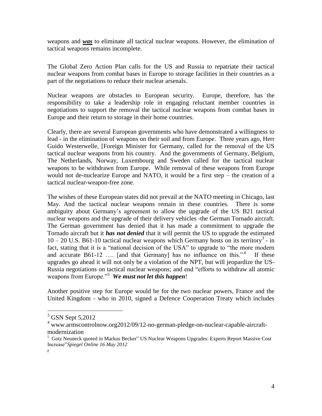weapons and *was* to eliminate all tactical nuclear weapons. However, the elimination of tactical weapons remains incomplete.

The Global Zero Action Plan calls for the US and Russia to repatriate their tactical nuclear weapons from combat bases in Europe to storage facilities in their countries as a part of the negotiations to reduce their nuclear arsenals.

Nuclear weapons are obstacles to European security. Europe, therefore, has the responsibility to take a leadership role in engaging reluctant member countries in negotiations to support the removal the tactical nuclear weapons from combat bases in Europe and their return to storage in their home countries.

Clearly, there are several European governments who have demonstrated a willingness to lead - in the elimination of weapons on their soil and from Europe. Three years ago, Herr Guido Westerwelle, [Foreign Minister for Germany, called for the removal of the US tactical nuclear weapons from his country. And the governments of Germany, Belgium, The Netherlands, Norway, Luxembourg and Sweden called for the tactical nuclear weapons to be withdrawn from Europe. While removal of these weapons from Europe would not de-nuclearize Europe and NATO, it would be a first step – the creation of a tactical nuclear-weapon-free zone.

The wishes of these European states did not prevail at the NATO meeting in Chicago, last May. And the tactical nuclear weapons remain in these countries. There is some ambiguity about Germany's agreement to allow the upgrade of the US B21 tactical nuclear weapons and the upgrade of their delivery vehicles -the German Tornado aircraft. The German government has denied that it has made a commitment to upgrade the Tornado aircraft but it *has not denied* that it will permit the US to upgrade the estimated  $10 - 20$  U.S. B61-10 tactical nuclear weapons which Germany hosts on its territory<sup>3</sup> - in fact, stating that it is a "national decision of the USA" to upgrade to "the more modern and accurate B61-12 .... [and that Germany] has no influence on this."<sup>4</sup> If these upgrades go ahead it will not only be a violation of the NPT, but will jeopardize the US-Russia negotiations on tactical nuclear weapons; and end "efforts to withdraw all atomic weapons from Europe."<sup>5</sup> *We must not let this happen*!

Another positive step for Europe would be for the two nuclear powers, France and the United Kingdom - who in 2010, signed a Defence Cooperation Treaty which includes

 $\overline{a}$ 

 $3$  GSN Sept 5,2012

<sup>4</sup> www.armscontrolnow.org2012/09/12-no-german-pledge-on-nuclear-capable-aircraftmodernization

 $5$  Gotz Neuneck quoted in Markus Becker" US Nuclear Weapons Upgrades: Experts Report Massive Cost Increase"*[Spiegel Online 16 May 2012](http://www.spiegel.de/extra/0,1518,632102,00.html)*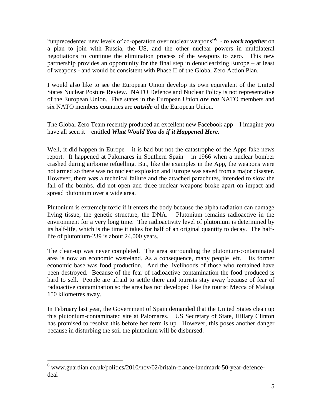"unprecedented new levels of co-operation over nuclear weapons<sup>"6</sup> - *to work together* on a plan to join with Russia, the US, and the other nuclear powers in multilateral negotiations to continue the elimination process of the weapons to zero. This new partnership provides an opportunity for the final step in denuclearizing Europe – at least of weapons - and would be consistent with Phase II of the Global Zero Action Plan.

I would also like to see the European Union develop its own equivalent of the United States Nuclear Posture Review. NATO Defence and Nuclear Policy is not representative of the European Union. Five states in the European Union *are not* NATO members and six NATO members countries are *outside* of the European Union.

The Global Zero Team recently produced an excellent new Facebook app – I imagine you have all seen it – entitled *What Would You do if it Happened Here.* 

Well, it did happen in Europe  $-$  it is bad but not the catastrophe of the Apps fake news report. It happened at Palomares in Southern Spain – in 1966 when a nuclear bomber crashed during airborne refuelling. But, like the examples in the App, the weapons were not armed so there was no nuclear explosion and Europe was saved from a major disaster. However, there *was* a technical failure and the attached parachutes, intended to slow the fall of the bombs, did not open and three nuclear weapons broke apart on impact and spread plutonium over a wide area.

Plutonium is extremely toxic if it enters the body because the alpha radiation can damage living tissue, the genetic structure, the DNA. Plutonium remains radioactive in the environment for a very long time. The radioactivity level of plutonium is determined by its half-life, which is the time it takes for half of an original quantity to decay. The halflife of plutonium-239 is about 24,000 years.

The clean-up was never completed. The area surrounding the plutonium-contaminated area is now an economic wasteland. As a consequence, many people left. Its former economic base was food production. And the livelihoods of those who remained have been destroyed. Because of the fear of radioactive contamination the food produced is hard to sell. People are afraid to settle there and tourists stay away because of fear of radioactive contamination so the area has not developed like the tourist Mecca of Malaga 150 kilometres away.

In February last year, the Government of Spain demanded that the United States clean up this plutonium-contaminated site at Palomares. US Secretary of State, Hillary Clinton has promised to resolve this before her term is up. However, this poses another danger because in disturbing the soil the plutonium will be disbursed.

 $\overline{a}$ 

 $6$  www.guardian.co.uk/politics/2010/nov/02/britain-france-landmark-50-year-defencedeal